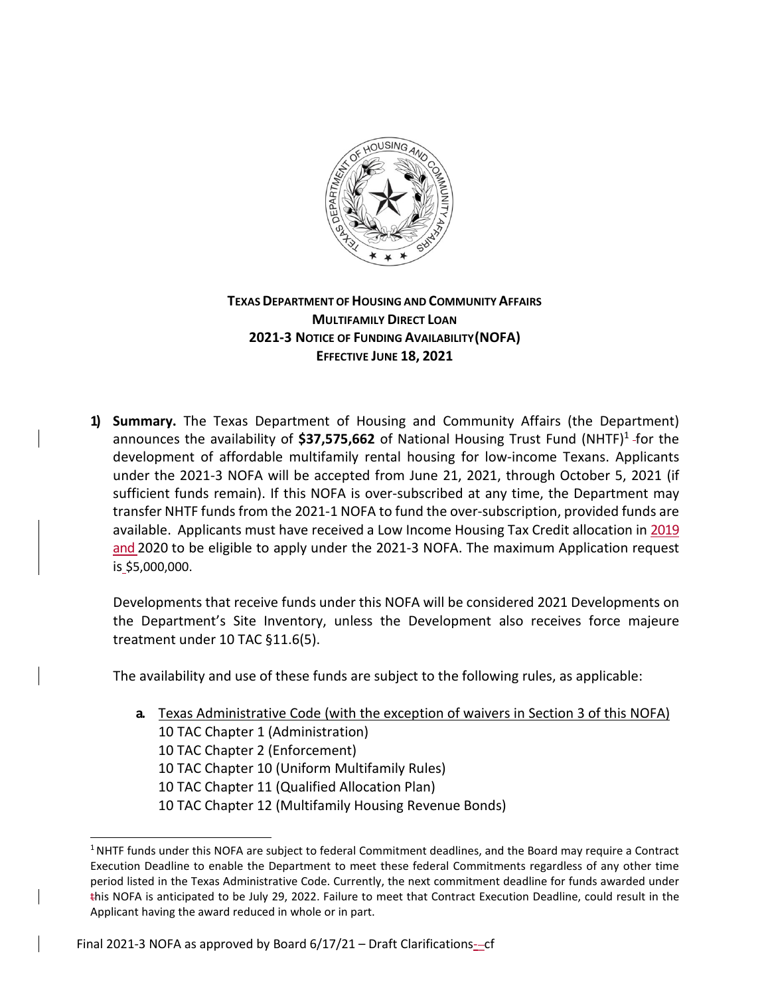

## **TEXAS DEPARTMENT OF HOUSING AND COMMUNITY AFFAIRS MULTIFAMILY DIRECT LOAN 2021‐3 NOTICE OF FUNDING AVAILABILITY(NOFA) EFFECTIVE JUNE 18, 2021**

**1) Summary.** The Texas Department of Housing and Community Affairs (the Department) announces the availability of **\$37,575,662** of National Housing Trust Fund (NHTF)1 for the development of affordable multifamily rental housing for low-income Texans. Applicants under the 2021-3 NOFA will be accepted from June 21, 2021, through October 5, 2021 (if sufficient funds remain). If this NOFA is over-subscribed at any time, the Department may transfer NHTF funds from the 2021-1 NOFA to fund the over-subscription, provided funds are available. Applicants must have received a Low Income Housing Tax Credit allocation in 2019 and 2020 to be eligible to apply under the 2021-3 NOFA. The maximum Application request is \$5,000,000.

Developments that receive funds under this NOFA will be considered 2021 Developments on the Department's Site Inventory, unless the Development also receives force majeure treatment under 10 TAC §11.6(5).

The availability and use of these funds are subject to the following rules, as applicable:

**a.** Texas Administrative Code (with the exception of waivers in Section 3 of this NOFA) 10 TAC Chapter 1 (Administration) 10 TAC Chapter 2 (Enforcement) 10 TAC Chapter 10 (Uniform Multifamily Rules) 10 TAC Chapter 11 (Qualified Allocation Plan) 10 TAC Chapter 12 (Multifamily Housing Revenue Bonds)

<sup>&</sup>lt;sup>1</sup> NHTF funds under this NOFA are subject to federal Commitment deadlines, and the Board may require a Contract Execution Deadline to enable the Department to meet these federal Commitments regardless of any other time period listed in the Texas Administrative Code. Currently, the next commitment deadline for funds awarded under this NOFA is anticipated to be July 29, 2022. Failure to meet that Contract Execution Deadline, could result in the Applicant having the award reduced in whole or in part.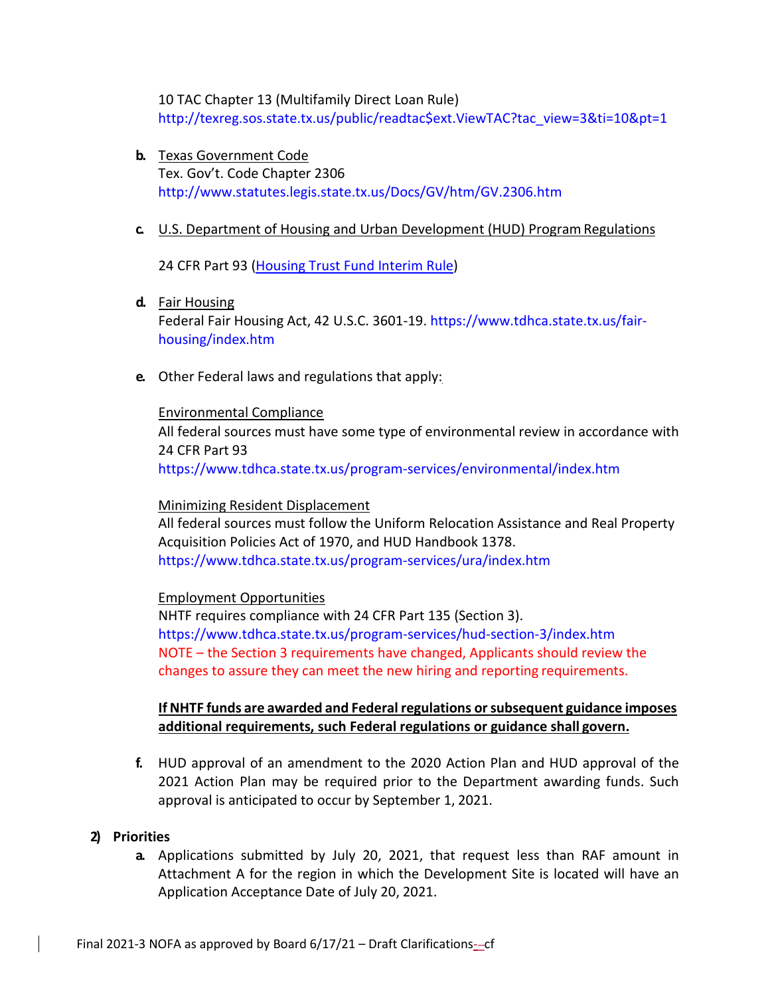10 TAC Chapter 13 (Multifamily Direct Loan Rule) [http://texreg.sos.state.tx.us/public/readtac\\$ext.ViewTAC?tac\\_view=3&ti=10&pt=1](http://texreg.sos.state.tx.us/public/readtac%24ext.ViewTAC?tac_view=3&ti=10&pt=1)

**b.** Texas Government Code Tex. Gov't. Code Chapter 2306 <http://www.statutes.legis.state.tx.us/Docs/GV/htm/GV.2306.htm>

### **c.** U.S. Department of Housing and Urban Development (HUD) ProgramRegulations

24 CFR Part 93 (Housing Trust Fund Interim Rule)

#### **d.** Fair Housing

Federal Fair Housing Act, 42 U.S.C. 3601-19. [https://www.tdhca.state.tx.us/fair](http://www.tdhca.state.tx.us/fair)housing/index.htm

**e.** Other Federal laws and regulations that apply:

#### Environmental Compliance

All federal sources must have some type of environmental review in accordance with 24 CFR Part 93

[https://www.tdhca.state.tx.us/program-](http://www.tdhca.state.tx.us/program)services/environmental/index.htm

#### Minimizing Resident Displacement

All federal sources must follow the Uniform Relocation Assistance and Real Property Acquisition Policies Act of 1970, and HUD Handbook 1378. [https://www.tdhca.state.tx.us/program-](http://www.tdhca.state.tx.us/program)services/ura/index.htm

### Employment Opportunities

NHTF requires compliance with 24 CFR Part 135 (Section 3). [https://www.tdhca.state.tx.us/program-](http://www.tdhca.state.tx.us/program)services/hud-section-3/index.htm NOTE – the Section 3 requirements have changed, Applicants should review the changes to assure they can meet the new hiring and reporting requirements.

### **If NHTF funds are awarded and Federal regulations orsubsequent guidance imposes additional requirements, such Federal regulations or guidance shall govern.**

**f.** HUD approval of an amendment to the 2020 Action Plan and HUD approval of the 2021 Action Plan may be required prior to the Department awarding funds. Such approval is anticipated to occur by September 1, 2021.

### **2) Priorities**

**a.** Applications submitted by July 20, 2021, that request less than RAF amount in Attachment A for the region in which the Development Site is located will have an Application Acceptance Date of July 20, 2021.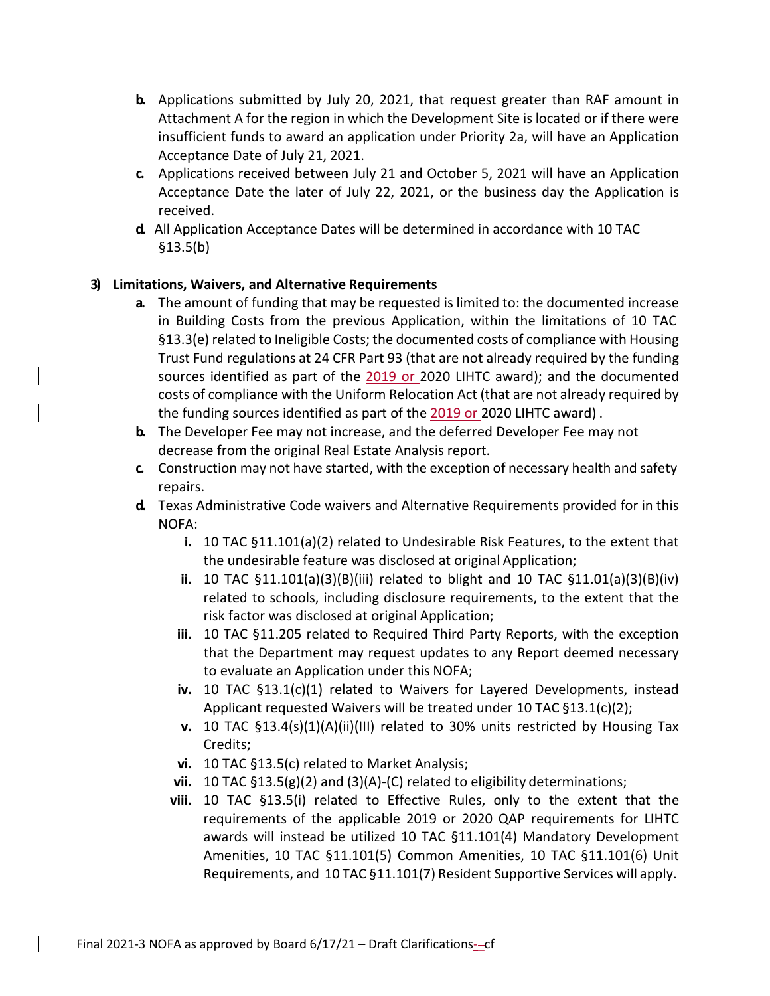- **b.** Applications submitted by July 20, 2021, that request greater than RAF amount in Attachment A for the region in which the Development Site is located or if there were insufficient funds to award an application under Priority 2a, will have an Application Acceptance Date of July 21, 2021.
- **c.** Applications received between July 21 and October 5, 2021 will have an Application Acceptance Date the later of July 22, 2021, or the business day the Application is received.
- **d.** All Application Acceptance Dates will be determined in accordance with 10 TAC §13.5(b)

## **3) Limitations, Waivers, and Alternative Requirements**

- **a.** The amount of funding that may be requested is limited to: the documented increase in Building Costs from the previous Application, within the limitations of 10 TAC §13.3(e) related to Ineligible Costs; the documented costs of compliance with Housing Trust Fund regulations at 24 CFR Part 93 (that are not already required by the funding sources identified as part of the 2019 or 2020 LIHTC award); and the documented costs of compliance with the Uniform Relocation Act (that are not already required by the funding sources identified as part of the 2019 or 2020 LIHTC award) .
- **b.** The Developer Fee may not increase, and the deferred Developer Fee may not decrease from the original Real Estate Analysis report.
- **c.** Construction may not have started, with the exception of necessary health and safety repairs.
- **d.** Texas Administrative Code waivers and Alternative Requirements provided for in this NOFA:
	- **i.** 10 TAC §11.101(a)(2) related to Undesirable Risk Features, to the extent that the undesirable feature was disclosed at original Application;
	- **ii.** 10 TAC §11.101(a)(3)(B)(iii) related to blight and 10 TAC §11.01(a)(3)(B)(iv) related to schools, including disclosure requirements, to the extent that the risk factor was disclosed at original Application;
	- **iii.** 10 TAC §11.205 related to Required Third Party Reports, with the exception that the Department may request updates to any Report deemed necessary to evaluate an Application under this NOFA;
	- **iv.** 10 TAC §13.1(c)(1) related to Waivers for Layered Developments, instead Applicant requested Waivers will be treated under 10 TAC §13.1(c)(2);
	- **v.** 10 TAC §13.4(s)(1)(A)(ii)(III) related to 30% units restricted by Housing Tax Credits;
	- **vi.** 10 TAC §13.5(c) related to Market Analysis;
	- **vii.** 10 TAC §13.5(g)(2) and (3)(A)-(C) related to eligibility determinations;
	- **viii.** 10 TAC §13.5(i) related to Effective Rules, only to the extent that the requirements of the applicable 2019 or 2020 QAP requirements for LIHTC awards will instead be utilized 10 TAC §11.101(4) Mandatory Development Amenities, 10 TAC §11.101(5) Common Amenities, 10 TAC §11.101(6) Unit Requirements, and 10 TAC §11.101(7) Resident Supportive Services will apply.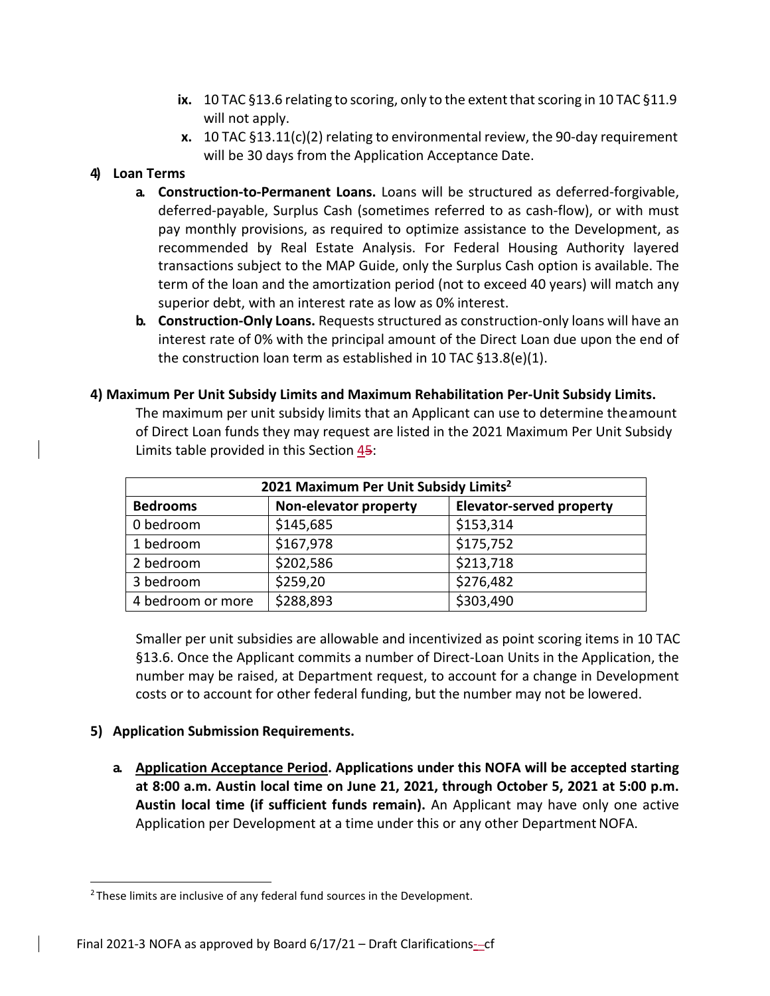- **ix.** 10 TAC §13.6 relating to scoring, only to the extent that scoring in 10 TAC §11.9 will not apply.
- **x.** 10 TAC §13.11(c)(2) relating to environmental review, the 90-day requirement will be 30 days from the Application Acceptance Date.

## **4) Loan Terms**

- **a. Construction‐to‐Permanent Loans.** Loans will be structured as deferred-forgivable, deferred-payable, Surplus Cash (sometimes referred to as cash-flow), or with must pay monthly provisions, as required to optimize assistance to the Development, as recommended by Real Estate Analysis. For Federal Housing Authority layered transactions subject to the MAP Guide, only the Surplus Cash option is available. The term of the loan and the amortization period (not to exceed 40 years) will match any superior debt, with an interest rate as low as 0% interest.
- **b. Construction‐Only Loans.** Requests structured as construction-only loans will have an interest rate of 0% with the principal amount of the Direct Loan due upon the end of the construction loan term as established in 10 TAC §13.8(e)(1).
- **4) Maximum Per Unit Subsidy Limits and Maximum Rehabilitation Per‐Unit Subsidy Limits.**

The maximum per unit subsidy limits that an Applicant can use to determine theamount of Direct Loan funds they may request are listed in the 2021 Maximum Per Unit Subsidy Limits table provided in this Section 45:

| 2021 Maximum Per Unit Subsidy Limits <sup>2</sup> |                       |                                 |
|---------------------------------------------------|-----------------------|---------------------------------|
| <b>Bedrooms</b>                                   | Non-elevator property | <b>Elevator-served property</b> |
| 0 bedroom                                         | \$145,685             | \$153,314                       |
| 1 bedroom                                         | \$167,978             | \$175,752                       |
| 2 bedroom                                         | \$202,586             | \$213,718                       |
| 3 bedroom                                         | \$259,20              | \$276,482                       |
| 4 bedroom or more                                 | \$288,893             | \$303,490                       |

Smaller per unit subsidies are allowable and incentivized as point scoring items in 10 TAC §13.6. Once the Applicant commits a number of Direct-Loan Units in the Application, the number may be raised, at Department request, to account for a change in Development costs or to account for other federal funding, but the number may not be lowered.

### **5) Application Submission Requirements.**

**a. Application Acceptance Period. Applications under this NOFA will be accepted starting at 8:00 a.m. Austin local time on June 21, 2021, through October 5, 2021 at 5:00 p.m. Austin local time (if sufficient funds remain).** An Applicant may have only one active Application per Development at a time under this or any other Department NOFA.

<sup>&</sup>lt;sup>2</sup> These limits are inclusive of any federal fund sources in the Development.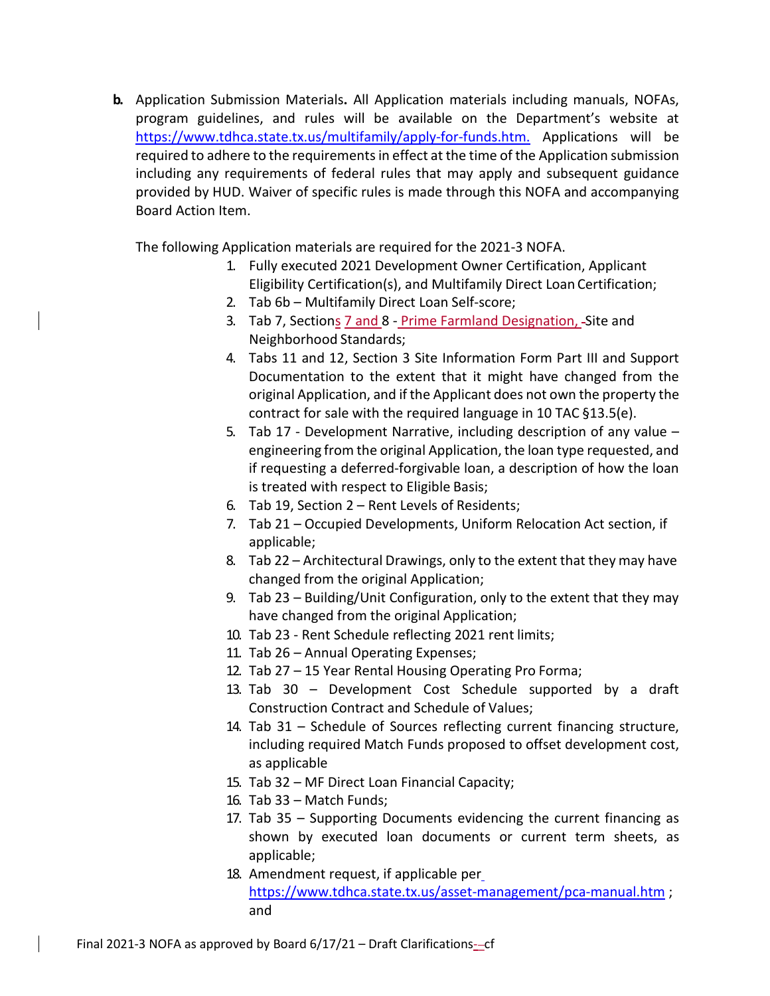**b.** Application Submission Materials**.** All Application materials including manuals, NOFAs, program guidelines, and rules will be available on the Department's website at [https://www.tdhca.state.tx.us/multifamily/apply-](http://www.tdhca.state.tx.us/multifamily/apply)for-funds.htm. Applications will be required to adhere to the requirements in effect at the time of the Application submission including any requirements of federal rules that may apply and subsequent guidance provided by HUD. Waiver of specific rules is made through this NOFA and accompanying Board Action Item.

The following Application materials are required for the 2021-3 NOFA.

- 1. Fully executed 2021 Development Owner Certification, Applicant Eligibility Certification(s), and Multifamily Direct Loan Certification;
- 2. Tab 6b Multifamily Direct Loan Self-score;
- 3. Tab 7, Sections 7 and 8 Prime Farmland Designation, Site and Neighborhood Standards;
- 4. Tabs 11 and 12, Section 3 Site Information Form Part III and Support Documentation to the extent that it might have changed from the original Application, and if the Applicant does not own the property the contract for sale with the required language in 10 TAC §13.5(e).
- 5. Tab 17 Development Narrative, including description of any value engineering from the original Application, the loan type requested, and if requesting a deferred-forgivable loan, a description of how the loan is treated with respect to Eligible Basis;
- 6. Tab 19, Section 2 Rent Levels of Residents;
- 7. Tab 21 Occupied Developments, Uniform Relocation Act section, if applicable;
- 8. Tab 22 Architectural Drawings, only to the extent that they may have changed from the original Application;
- 9. Tab 23 Building/Unit Configuration, only to the extent that they may have changed from the original Application;
- 10. Tab 23 Rent Schedule reflecting 2021 rent limits;
- 11. Tab 26 Annual Operating Expenses;
- 12. Tab 27 15 Year Rental Housing Operating Pro Forma;
- 13. Tab 30 Development Cost Schedule supported by a draft Construction Contract and Schedule of Values;
- 14. Tab 31 Schedule of Sources reflecting current financing structure, including required Match Funds proposed to offset development cost, as applicable
- 15. Tab 32 MF Direct Loan Financial Capacity;
- 16. Tab 33 Match Funds;
- 17. Tab 35 Supporting Documents evidencing the current financing as shown by executed loan documents or current term sheets, as applicable;
- 18. Amendment request, if applicable per [https://www.tdhca.state.tx.us/asset-](http://www.tdhca.state.tx.us/asset)management/pca-manual.htm; and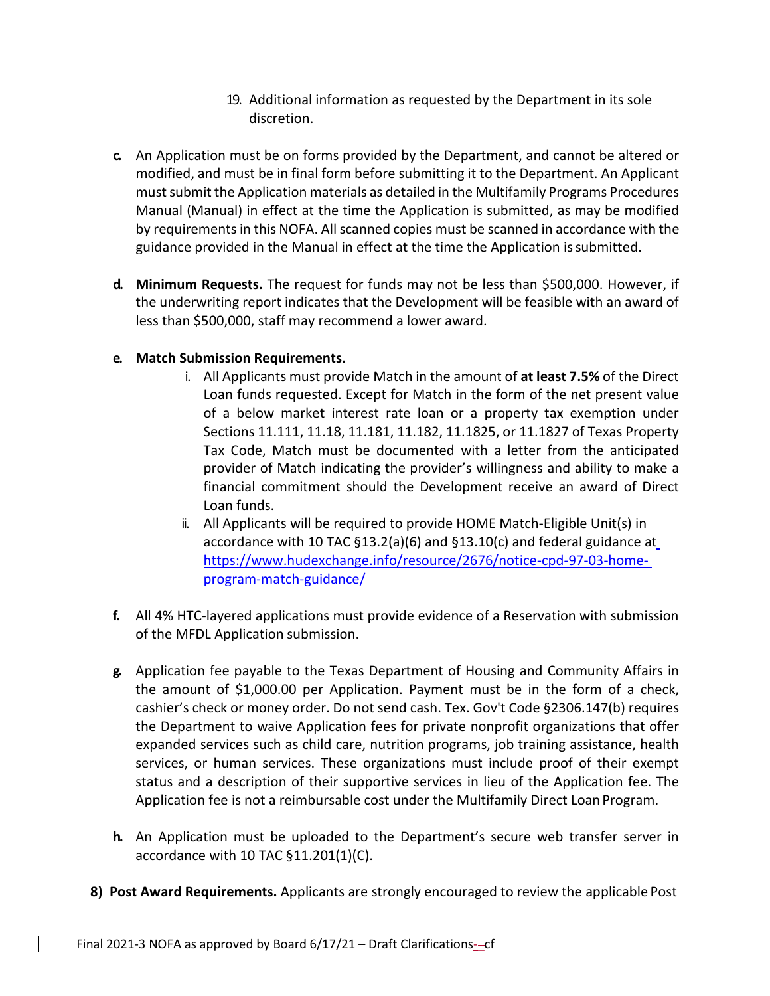- 19. Additional information as requested by the Department in its sole discretion.
- **c.** An Application must be on forms provided by the Department, and cannot be altered or modified, and must be in final form before submitting it to the Department. An Applicant must submit the Application materials as detailed in the Multifamily Programs Procedures Manual (Manual) in effect at the time the Application is submitted, as may be modified by requirementsin this NOFA. All scanned copies must be scanned in accordance with the guidance provided in the Manual in effect at the time the Application issubmitted.
- **d. Minimum Requests.** The request for funds may not be less than \$500,000. However, if the underwriting report indicates that the Development will be feasible with an award of less than \$500,000, staff may recommend a lower award.

## **e. Match Submission Requirements.**

- i. All Applicants must provide Match in the amount of **at least 7.5%** of the Direct Loan funds requested. Except for Match in the form of the net present value of a below market interest rate loan or a property tax exemption under Sections 11.111, 11.18, 11.181, 11.182, 11.1825, or 11.1827 of Texas Property Tax Code, Match must be documented with a letter from the anticipated provider of Match indicating the provider's willingness and ability to make a financial commitment should the Development receive an award of Direct Loan funds.
- ii. All Applicants will be required to provide HOME Match-Eligible Unit(s) in accordance with 10 TAC §13.2(a)(6) and §13.10(c) and federal guidance at [https://www.hudexchange.info/resource/2676/notice-](http://www.hudexchange.info/resource/2676/notice)cpd-97-03-homeprogram-match-guidance/
- **f.** All 4% HTC-layered applications must provide evidence of a Reservation with submission of the MFDL Application submission.
- **g.** Application fee payable to the Texas Department of Housing and Community Affairs in the amount of \$1,000.00 per Application. Payment must be in the form of a check, cashier's check or money order. Do not send cash. Tex. Gov't Code §2306.147(b) requires the Department to waive Application fees for private nonprofit organizations that offer expanded services such as child care, nutrition programs, job training assistance, health services, or human services. These organizations must include proof of their exempt status and a description of their supportive services in lieu of the Application fee. The Application fee is not a reimbursable cost under the Multifamily Direct LoanProgram.
- **h.** An Application must be uploaded to the Department's secure web transfer server in accordance with 10 TAC §11.201(1)(C).
- **8) Post Award Requirements.** Applicants are strongly encouraged to review the applicable Post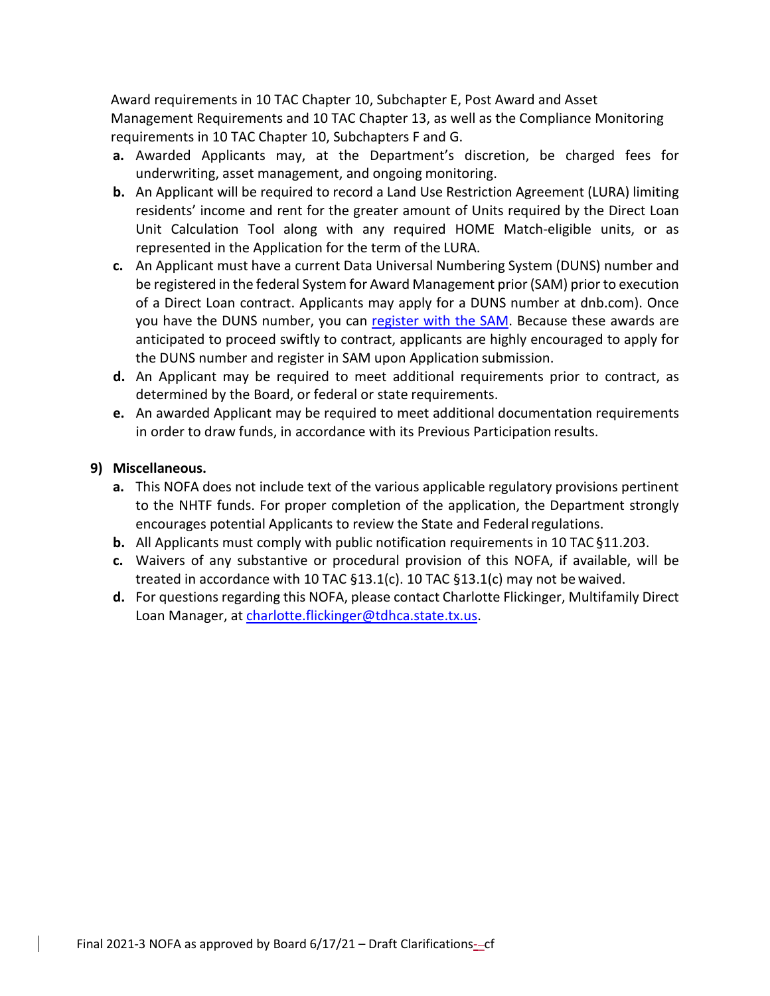Award requirements in 10 TAC Chapter 10, Subchapter E, Post Award and Asset Management Requirements and 10 TAC Chapter 13, as well as the Compliance Monitoring requirements in 10 TAC Chapter 10, Subchapters F and G.

- **a.** Awarded Applicants may, at the Department's discretion, be charged fees for underwriting, asset management, and ongoing monitoring.
- **b.** An Applicant will be required to record a Land Use Restriction Agreement (LURA) limiting residents' income and rent for the greater amount of Units required by the Direct Loan Unit Calculation Tool along with any required HOME Match-eligible units, or as represented in the Application for the term of the LURA.
- **c.** An Applicant must have a current Data Universal Numbering System (DUNS) number and be registered in the federal System for Award Management prior (SAM) prior to execution of a Direct Loan contract. Applicants may apply for a DUNS number at dnb.com). Once you have the DUNS number, you can register with the SAM. Because these awards are anticipated to proceed swiftly to contract, applicants are highly encouraged to apply for the DUNS number and register in SAM upon Application submission.
- **d.** An Applicant may be required to meet additional requirements prior to contract, as determined by the Board, or federal or state requirements.
- **e.** An awarded Applicant may be required to meet additional documentation requirements in order to draw funds, in accordance with its Previous Participation results.

### **9) Miscellaneous.**

- **a.** This NOFA does not include text of the various applicable regulatory provisions pertinent to the NHTF funds. For proper completion of the application, the Department strongly encourages potential Applicants to review the State and Federal regulations.
- **b.** All Applicants must comply with public notification requirements in 10 TAC §11.203.
- **c.** Waivers of any substantive or procedural provision of this NOFA, if available, will be treated in accordance with 10 TAC §13.1(c). 10 TAC §13.1(c) may not be waived.
- **d.** For questions regarding this NOFA, please contact Charlotte Flickinger, Multifamily Direct Loan Manager, at [charlotte.flickinger@tdhca.state.tx.us.](mailto:charlotte.flickinger@tdhca.state.tx.us)